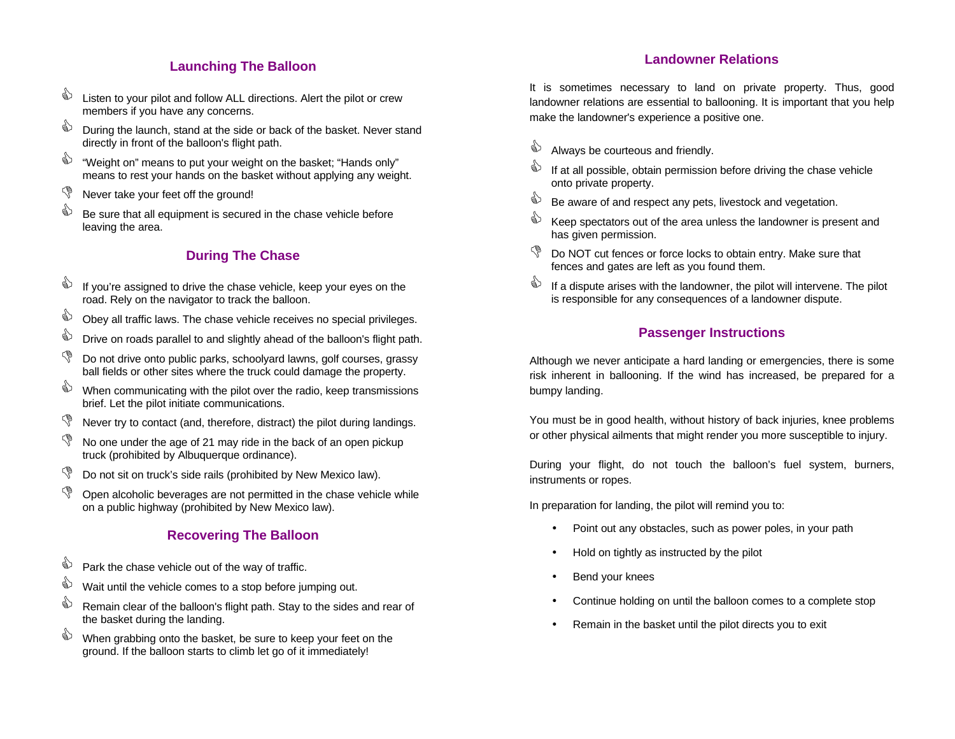# **Launching The Balloon**

- $\overset{\triangle}{\Leftrightarrow}$  Listen to your pilot and follow ALL directions. Alert the pilot or crew members if you have any concerns.
- $\overset{\triangle}{\triangle}$  During the launch, stand at the side or back of the basket. Never stand directly in front of the balloon's flight path.
- $\overset{\triangle}{\Leftrightarrow}$  "Weight on" means to put your weight on the basket; "Hands only" means to rest your hands on the basket without applying any weight.
- $\sqrt{\ }$  Never take your feet off the ground!
- Be sure that all equipment is secured in the chase vehicle before leaving the area.

# **During The Chase**

- $\mathbb{R}$  If you're assigned to drive the chase vehicle, keep your eyes on the road. Rely on the navigator to track the balloon.
- Obey all traffic laws. The chase vehicle receives no special privileges.
- $\overrightarrow{a}$  Drive on roads parallel to and slightly ahead of the balloon's flight path.
- Do not drive onto public parks, schoolyard lawns, golf courses, grassy ball fields or other sites where the truck could damage the property.
- When communicating with the pilot over the radio, keep transmissions brief. Let the pilot initiate communications.
- $\mathbb{S}$  Never try to contact (and, therefore, distract) the pilot during landings.
- $\mathbb{S}$  No one under the age of 21 may ride in the back of an open pickup truck (prohibited by Albuquerque ordinance).
- $\mathbb{S}$  Do not sit on truck's side rails (prohibited by New Mexico law).
- $\mathbb{S}$  Open alcoholic beverages are not permitted in the chase vehicle while on a public highway (prohibited by New Mexico law).

## **Recovering The Balloon**

- $\overset{\triangle}{\bullet}$  Park the chase vehicle out of the way of traffic.
- $\overset{\triangle}{\Leftrightarrow}$  Wait until the vehicle comes to a stop before jumping out.
- Remain clear of the balloon's flight path. Stay to the sides and rear of the basket during the landing.
- $\overset{\triangle}{\Longleftrightarrow}$  When grabbing onto the basket, be sure to keep your feet on the ground. If the balloon starts to climb let go of it immediately!

It is sometimes necessary to land on private property. Thus, good landowner relations are essential to ballooning. It is important that you help make the landowner's experience a positive one.

- $\overset{\triangle}{\Leftrightarrow}$  Always be courteous and friendly.
- $\overset{\triangle}{\blacktriangleright}$  If at all possible, obtain permission before driving the chase vehicle onto private property.
- $\overset{\triangle}{\Leftrightarrow}$  Be aware of and respect any pets, livestock and vegetation.
- $\mathbb{R}$  Keep spectators out of the area unless the landowner is present and has given permission.
- Do NOT cut fences or force locks to obtain entry. Make sure that fences and gates are left as you found them.
- $\mathbf{\hat{C}}$  If a dispute arises with the landowner, the pilot will intervene. The pilot is responsible for any consequences of a landowner dispute.

## **Passenger Instructions**

Although we never anticipate a hard landing or emergencies, there is some risk inherent in ballooning. If the wind has increased, be prepared for a bumpy landing.

You must be in good health, without history of back injuries, knee problems or other physical ailments that might render you more susceptible to injury.

During your flight, do not touch the balloon's fuel system, burners, instruments or ropes.

In preparation for landing, the pilot will remind you to:

- Point out any obstacles, such as power poles, in your path
- Hold on tightly as instructed by the pilot
- Bend your knees
- Continue holding on until the balloon comes to a complete stop
- Remain in the basket until the pilot directs you to exit

#### **Landowner Relations**